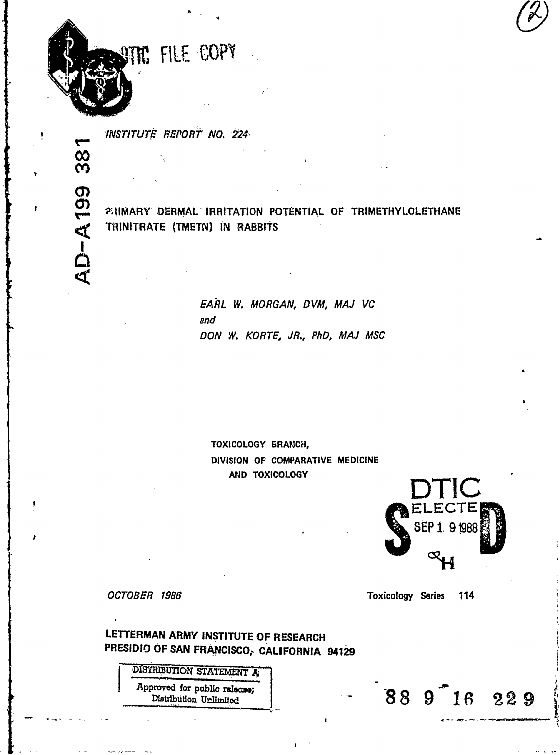

38

**AD-A199** 

INSTITUTE REPORT NO. 224

**23 NOVIET AND THE TERM OF STEAM OF TRIMETHY LOLETHANE** TRINITRATE (TMETN) IN RABBITS

> EARL W. MORGAN, DVM, MAJ VC and DON W. KORTE, JR., PhD, MAJ MSC

TOXICOLOGY BRANCH, DIVISION OF COMPARATIVE MEDICINE AND TOXICOLOGY



88 9 16 229

OCTOBER 1986

**Toxicology Series** 114

LETTERMAN ARMY INSTITUTE OF RESEARCH PRESIDIO OF SAN FRANCISCO, CALIFORNIA 94129

> DISTRIBUTION STATEMENT A Approved for public release? Distribution Unlimited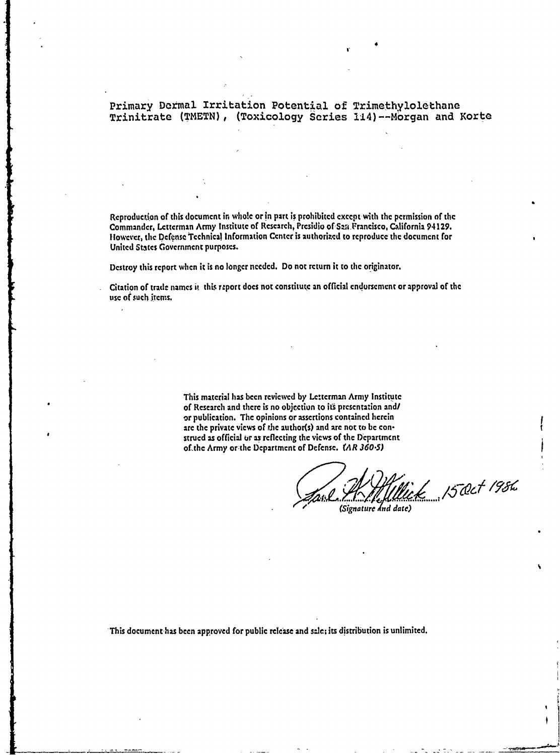## Primary Dermal Irritation Potential of Trimethylolethane Trinitrate **(TMETN),** (Toxicology Series 114)--Mbrgan and Korte

Reproduction of this document in whoie or in part is prohibited cxccptwith the permission **of** the Commander, Lcttcrman Army Institute of Rcsearch, Presidio ofSza-Francisco, California 94129. Itowever, tie Defense Tcchnical Information Center is authorized to reproduce the document for United States Government purposes.

Destroy this report when it is no longer needed. Do not return it to the originator.

Citation of trade names it this report does not constitute an official endorsement or approval of the **use** of such **Imnes.**

> This material has been reviewed **by** Lc:tcrman Army Institute of Research and there is no objection to its presentation and/ or publication. The opinions or assertions contained herein are the private views of the author(s) and are not to be construcd as official or as reflecting the views of the Dcpartmcnt of~the Army or-the Department of Defense. (AR **3605)**

15 Oct 1986 *(Signature and date)* 

This document has been approved for public release and sale; its distribution is unlimited.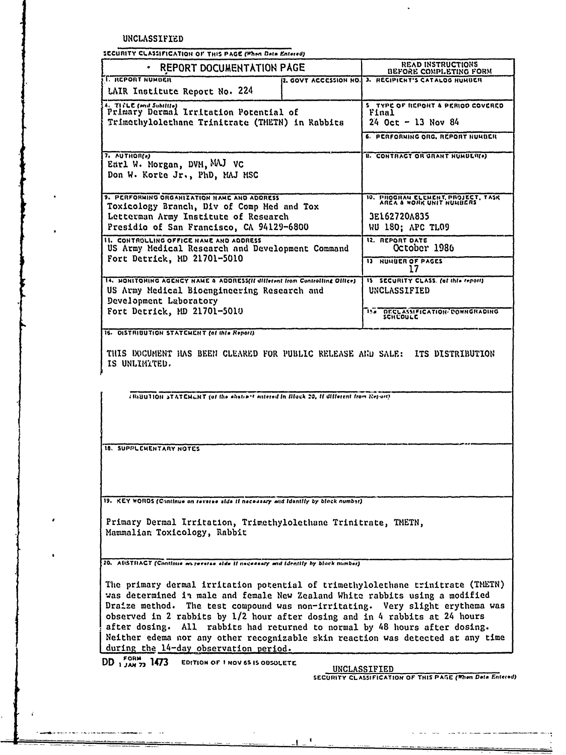UNCLASSIFIED

SECURITY CLASSIFICATION OF THIS PACE (When Data Entered)

| · REPORT DOCUMENTATION PAGE                                                                                                                                                                                                                                                                                                                                                                                                                                                                                                               |                       | <b>READ INSTRUCTIONS</b><br>BEFORE COMPLETING FORM                                              |
|-------------------------------------------------------------------------------------------------------------------------------------------------------------------------------------------------------------------------------------------------------------------------------------------------------------------------------------------------------------------------------------------------------------------------------------------------------------------------------------------------------------------------------------------|-----------------------|-------------------------------------------------------------------------------------------------|
| <b>I. REPORT NUMBER</b><br>LAIR Institute Report No. 224                                                                                                                                                                                                                                                                                                                                                                                                                                                                                  | 2. GOVT ACCESSION NO. | <b>J. RECIPIENT'S CATALOG NUMBER</b>                                                            |
| 4. TIPLE (end Subilite) Irritation Potential of<br>Trimethylolethane Trinitrate (THETN) in Rabbits                                                                                                                                                                                                                                                                                                                                                                                                                                        |                       | 5 YYPE OF REPORT & PERIOD COVERED<br>Final<br>$24$ Oct - 13 Nov 84                              |
|                                                                                                                                                                                                                                                                                                                                                                                                                                                                                                                                           |                       | 6. PERFORNING ORG. REPORT NUMBER                                                                |
| 7. AUTHOR(s)<br>Earl W. Morgan, DVM, MAJ VC<br>Don W. Korte Jr., PhD, MAJ MSC                                                                                                                                                                                                                                                                                                                                                                                                                                                             |                       | <b>U. CONTRACT OR GRANT NUMBER(*)</b>                                                           |
| 9. PERFORMING ORGANIZATION NAME AND ADDRESS<br>Toxicology Branch, Div of Comp Med and Tox<br>Letterman Army Institute of Research<br>Presidio of San Francisco, CA 94129-6800                                                                                                                                                                                                                                                                                                                                                             |                       | 10. PROGRAM ELEMENT, PROJECT, TASK AREA & WORK UNIT NUMBERS<br>3E162720A835<br>WU 180; APC TL09 |
| <b>11. CONTROLLING OFFICE NAME AND ADDRESS</b><br>US Army Medical Research and Development Command<br>Fort Detrick, MD 21701-5010                                                                                                                                                                                                                                                                                                                                                                                                         |                       | 12. REPORT DATE<br>October 1986<br>13 HUMBER OF PAGES<br>17                                     |
| 14. HONITORING AGENCY NAME & ADDRESS(II dilletent from Controlling Office)<br>US Army Medical Bioengineering Research and<br>Development Laboratory                                                                                                                                                                                                                                                                                                                                                                                       |                       | IS SECURITY CLASS. (of this report)<br>UNCLASSIFIED                                             |
| Fort Detrick, MD 21701-5010                                                                                                                                                                                                                                                                                                                                                                                                                                                                                                               |                       | 154 DECLASSIFICATION COWNGRADING                                                                |
| 16. DISTRIBUTION STATCHENT (of this Report).                                                                                                                                                                                                                                                                                                                                                                                                                                                                                              |                       |                                                                                                 |
| THIS BOCUMENT HAS BEEN CLEARED FOR PUBLIC RELEASE AND SALE: ITS DISTRIBUTION<br>IS UNLIMITED.                                                                                                                                                                                                                                                                                                                                                                                                                                             |                       |                                                                                                 |
| (RiBUTION STATCHERT (of the electrant entered in Block 20, if different from Report)                                                                                                                                                                                                                                                                                                                                                                                                                                                      |                       |                                                                                                 |
| 18. SUPPLEMENTARY NOTES                                                                                                                                                                                                                                                                                                                                                                                                                                                                                                                   |                       |                                                                                                 |
|                                                                                                                                                                                                                                                                                                                                                                                                                                                                                                                                           |                       |                                                                                                 |
| 19. KEY WORDS (Continue on reverse side if necessary and identify by block number)                                                                                                                                                                                                                                                                                                                                                                                                                                                        |                       |                                                                                                 |
| Primary Dermal Irritation, Trimethylolethane Trinitrate, TMETN,<br>Mammalian Toxicology, Rabbit                                                                                                                                                                                                                                                                                                                                                                                                                                           |                       |                                                                                                 |
| 20. AUSTRACT (Continue on reverse side if necessary and identify by block number)                                                                                                                                                                                                                                                                                                                                                                                                                                                         |                       |                                                                                                 |
| The primary dermal irritation potential of trimethylolethane trinitrate (TNETN)<br>was determined in male and female New Zealand White rabbits using a modified<br>Draize method. The test compound was non-irritating. Very slight erythema was<br>observed in 2 rabbits by 1/2 hour after dosing and in 4 rabbits at 24 hours<br>after dosing. All rabbits had returned to normal by 48 hours after dosing.<br>Neither edema nor any other recognizable skin reaction was detected at any time<br>during the 14-day observation period. |                       |                                                                                                 |

 $\pmb{\ast}$  $\mathbf{I}$ 

 $DD_{1/100}$ <sub>27</sub> 1473

 $\ddot{\phantom{a}}$ 

UNCLASSIFIED<br>SECURITY CLASSIFICATION OF THIS PASE (When Data Entered)

s all our contraction and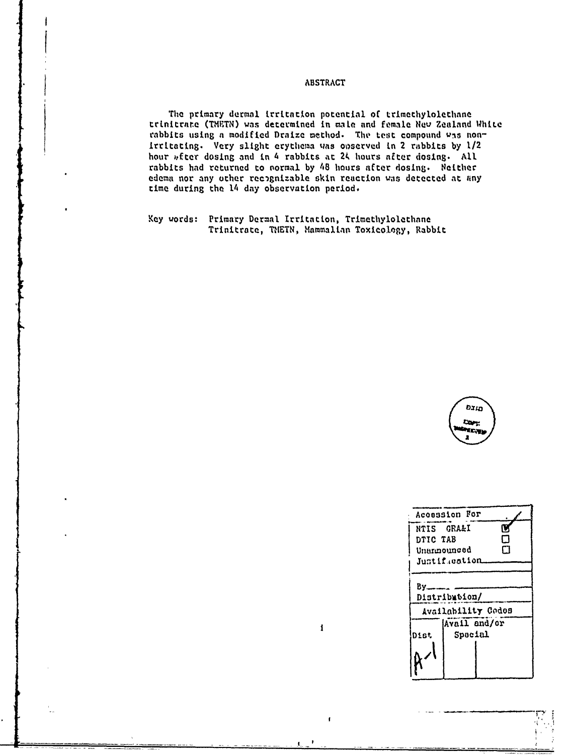## **ABSTRACT**

The primary dermal irritation potential of trimethylolethane trinitrate (TMETN) was determined in male and female New Zealand White rabbits using a modified Draize method. The test compound was nonirritating. Very slight erythema was observed in 2 rabbits by 1/2 hour wfter dosing and in 4 rabbits at 24 hours after dosing. All rabbits had returned to normal by 48 hours after dosing. Neither edema nor any other recognizable skin reaction was detected at any time during the 14 day observation period.

 $\mathbf i$ 

 $\pmb{\mathsf{f}}$ 

Key words: Primary Dermal Irritation, Trimethylolethane Trinitrate, TMETN, Mammalian Toxicology, Rabbit



|          | Acosssion For                       |   |
|----------|-------------------------------------|---|
|          | NTIS GRA&I                          | Ũ |
| DTIC TAB |                                     | П |
|          | Unamounced                          | ד |
|          | Justif.cation                       |   |
| Bv.      | Distribution/<br>Availability Codos |   |
|          | Avail and/or                        |   |
| nist     | Special                             |   |
|          |                                     |   |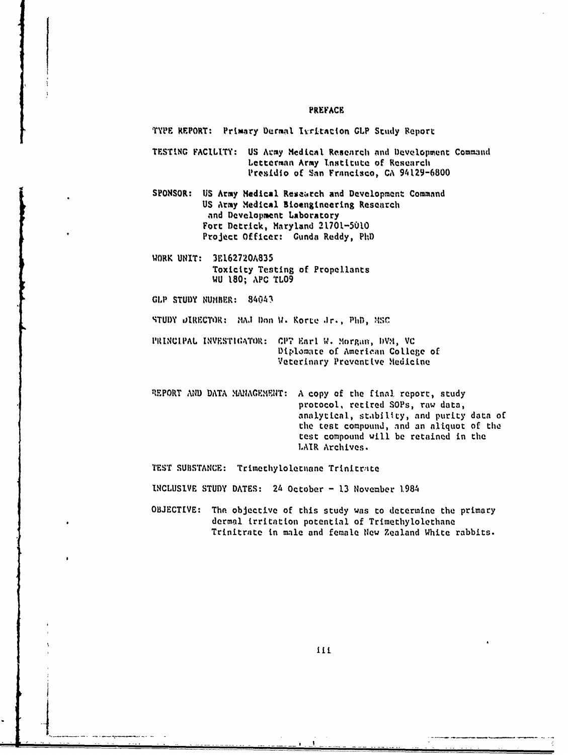#### PREFACE

TYPE REPORT: Primary Dermal Isritacion GLP Study Report

TESTING FACILITY: US Army Medical Research and Development Command Letterman Army Institute of Research Presidio of San Francisco, CA 94129-6800

SPONSOR: US Army Nedical Research and Development Command US Army Medical Bioengineering Research and Development Laboratory Fort Detrick, Maryland 21701-5010 Project Officer: Gunda Reddy, PhD

WORK UNIT: 3E162720A835 Toxicity Testing of Propellants WU 180; APC TLO9

GLP STUDY NUMBER: 84043

STUDY DIRECTOR: MAJ Don W. Korte Jr., PhD, MSC

- PRINCIPAL INVESTIGATOR: CPT Earl W. Morgan, DVM, VC Diplomate of American College of Veterinary Preventive Medicine
- REPORT AND DATA MANAGEMENT: A copy of the final report, study protocol, retired SOPs, raw data, analytical, stability, and purity data of the test compound, and an aliquot of the test compound will be retained in the LAIR Archives.

TEST SUBSTANCE: Trimethylolethane Trinitrate

INCLUSIVE STUDY DATES: 24 October - 13 November 1984

OBJECTIVE: The objective of this study was to determine the primary dermal irritation potential of Trimethylolethane Trinitrate in male and female New Zealand White rabbits.

111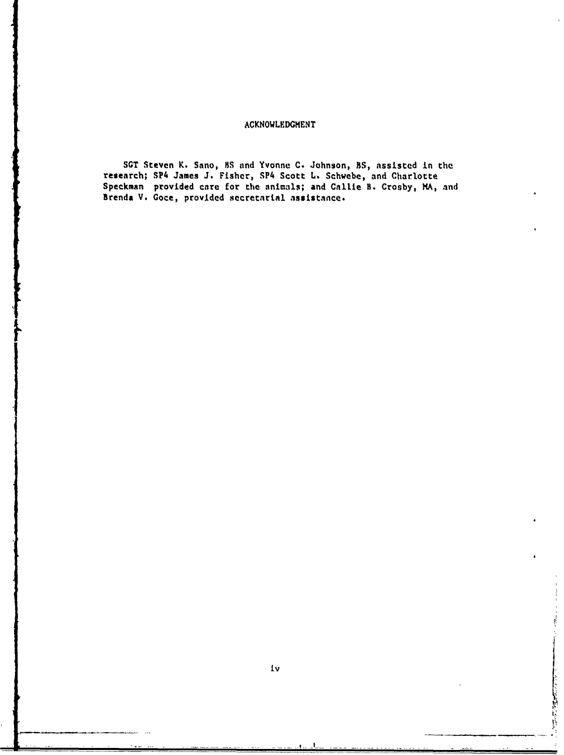## **ACKNOWLEDGMENT**

**SGT** Steven K. Sano, **B.S** and Yvonne **C.** Johnson, **SS,** assisted in the research; SP4 James **J.** Fisher, SP4 Scott **L.** Schwebe, and Charlotte Speckman provided care for the animals; and Callie B. Crosby, MA, and Brenda **V.** Goce, provided secretarial **assistance.**

医对称 医神经的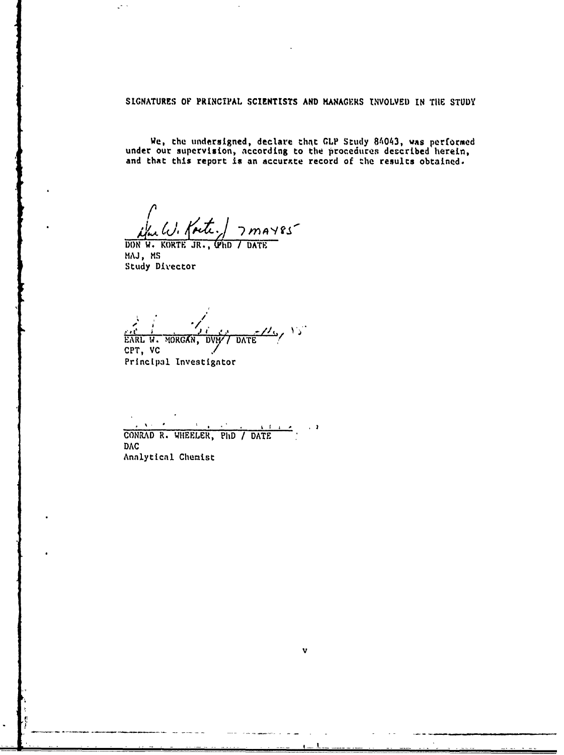**SIGNATURES** OF PRINCIPAL **SCIENTISTS AND KANAGERS NVOLVED IN TIlE STUDY**

We, the undersigned, declare that GLP Study 84043, was performed under our supervision, according to the procedures deccribed herein, and that this report is an accurate record of the results obtained.

 $7$ *may*  $s$ s

**DON W. KORTE JR., (PhD / DATE MAJ,** MS Study Divector

 $\mathcal{L}^{(1)}$  :

*#/*  $\omega_{\rm s}$  is EARL W. ORGAN, *DViW/* **DAT** CPT, **VC** \*/ Principal Investigntor

 $\mathbf{y} \in \mathbf{X}$  ,  $\mathbf{y}$  $\bullet$  $\hat{z}$  ,  $\mathbf{1}$   $\mathbf{1}$  $\sim$  3 CONRAD R. WHEELER, PhD */* DATE **DAC** Annlyticnl Chemist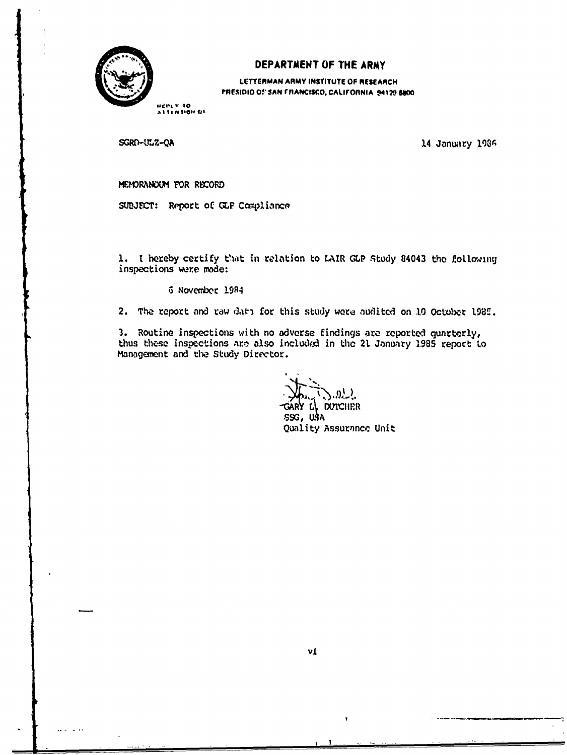

## DEPARTMENT OF THE ARMY

LETTERMAN ARMY INSTITUTE OF RESEARCH PRESIDIO OF SAN FRANCISCO, CALIFORNIA. 94129-6800.

HEREY TO

SGRD-ULZ-QA

14 January 1986

MEMORANOUM FOR RECORD

SUBJECT: Report of GLF Compliance

1. I hereby certify that in relation to LAIR GLP Study 84043 the following inspections were made:

6 November 1984

2. The report and raw data for this study were audited on 10 October 1985.

3. Routine inspections with no adverse findings are reported quarterly, thus these inspections are also included in the 21 January 1985 report to Management and the Study Director.

 $.9^{1}$ . **DUTCHER** 

SSG, USA Quality Assurance Unit

 $\mathbf{r}$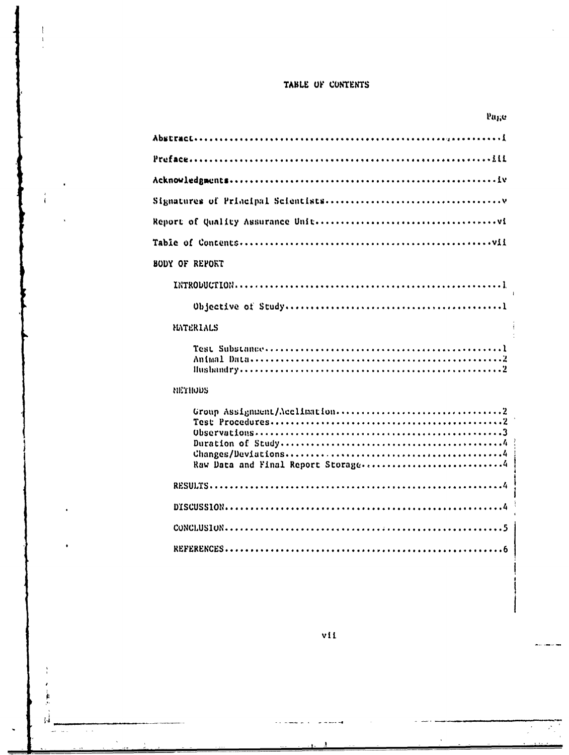## TABLE OF CONTENTS

ţ  $\ddot{\cdot}$ 

 $\varphi=\varphi$ 

 $\ddot{\phantom{a}}$ 

 $\bar{\phantom{a}}$ 

| Page           |
|----------------|
|                |
|                |
|                |
|                |
|                |
|                |
| BODY OF REPORT |
|                |
|                |
| MATERIALS      |
|                |
| NETHODS        |
|                |
|                |
|                |
|                |
|                |

 $v11$ 

 $\mathbf{r}$  $\,$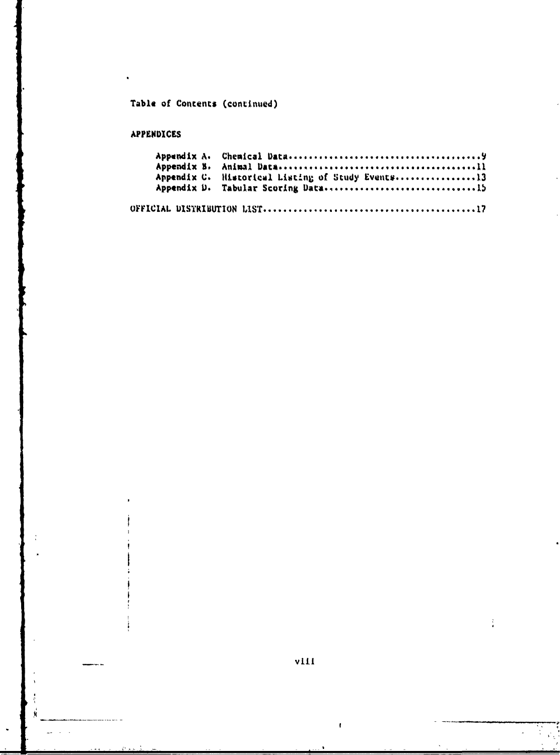# Table of Contents (continued)

## APPENDICES

 $\ddot{\phantom{0}}$ 

viii

 $\bar{\bar{t}}$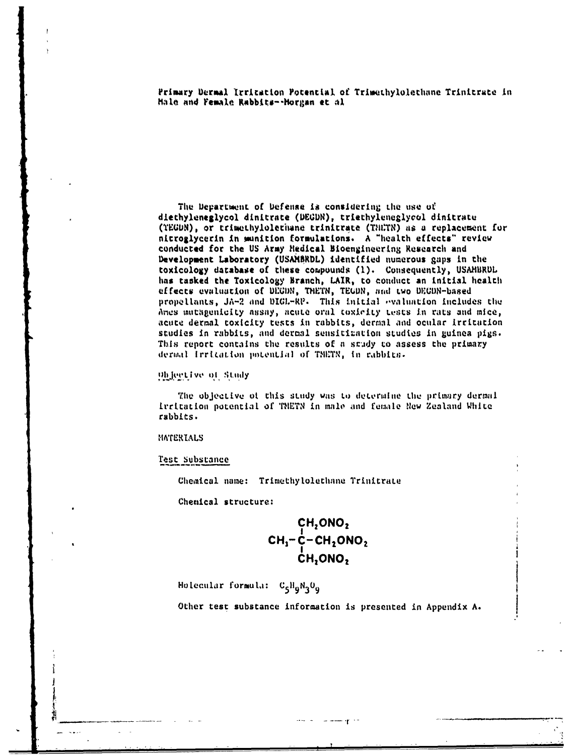Primary Dermal Irritation Potential of Trimethylolethane Trinitrate in Hale and Female Rabbits--Horgan et al

The Department of Defense is considering the use of diethyleneglycol dinitrate (DEGDN), triethyleneglycol dinitrate (TEGDN), or trimethylolerhane trinitrate (THLTN) as a replacement for nitroglycerin in munition formulations. A "health effects" review conducted for the US Army Hedical Bioengineering Research and Development Laboratory (USAMBRDL) identified numerous gaps in the toxicology database of these compounds (1). Consequently, USAMBRUL has tasked the Toxicology Branch, LAIR, to conduct an initial health effects evaluation of DECDN, THETN, TEGDN, and two DECDN-based propellants, JA-2 and DIGL-RP. This initial evaluation includes the Ames mutagenicity assay, acute oral toxicity tests in rats and mice, acute dermal toxicity tests in rabbits, dermal and ocular irritation studies in rabbits, and dermal sensitization studies in guinea pigs. This report contains the results of a smudy to assess the primary dermal Irritation potential of TMETN, in rabbits.

## Objective of Study

The objective of this study was to determine the primary dermal Incitation potential of TNETN in male and female New Zealand White rabbits.

## MATERIALS

## Test Substance

Chemical name: Trimethylolethane Trinitrate

Chemical structure:

$$
\begin{array}{c}\n\mathsf{CH}_2\mathsf{ONO}_2\\
\mathsf{CH}_3-\mathsf{C}-\mathsf{CH}_2\mathsf{ONO}_2\\
\mathsf{CH}_2\mathsf{ONO}_2\n\end{array}
$$

Holecular formula: C<sub>5</sub>H<sub>9</sub>N<sub>3</sub>O<sub>9</sub>

Other test substance information is presented in Appendix A.

where  $\mathbf{q} \rightarrow \mathbf{q}$ 

المستعدد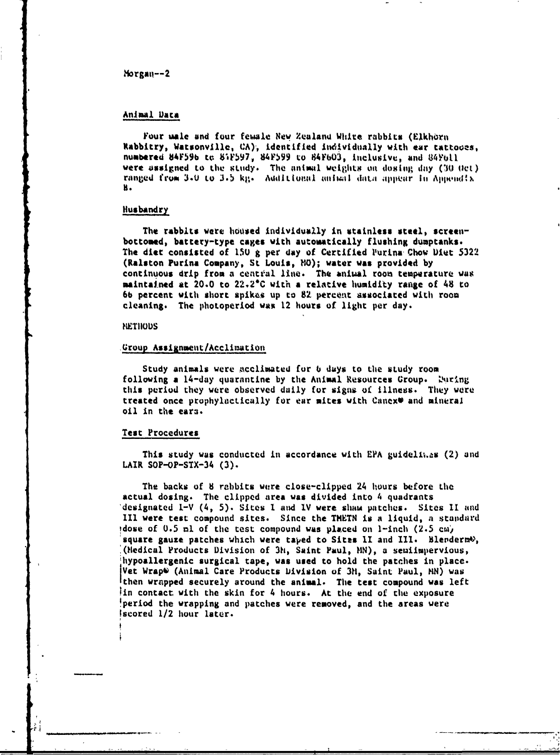## ?Irgaii-- **2**

## Animal **)aca**

Four uale and four **female New** Zealand White rabbits (Elkhorn Rabbitry, Watsonville, CA), identified individually with ear tattooes, numbered **84059b to SFW597,** 8AF99 **to 84Fb03,** itclusive, and **84FOll** were assigned to the study. The animal weights on dosing day (30 Oct) ranged from 3.0 to 3.5 kg. Additional animal data appear in Appendix **H.**

#### Husbandry

The rabblts were housed individually in **stainless** steel, **screen**bottomed, battery-type cages with automatically flushing dumptanks. The diet consisted of **I5U g** per **day** of Certified Ilurina , Chov Ulut **5322** (Ralston Purina Company, St Louis, **MO);** water **was** provided **by** continuous drip from **a** cent'al **line.** The animal room temperature was maintained at 20.0 to **22.2C** with **a** relative humidity range of 48 to **6b** percent with short spikes up to **82** percoxat associated with room cleaning. The photoperiod was 12 hours **of** light per **day.**

## **KIETHOUS**

#### Group Assignment/Acclimation

Study animals were acclimated for *6* days to the study room following a **14-day** quarantine **by** the Animal Resources Group. IVring this period they were observed daily for signs of illness. **They** were treated once prophylactically for **ear** mites with Canex\* and mineral oil in the eara.

#### Test Procedures

This study was conducted in accordance with EPA guidelines (2) and LAIR SOP-OP-STX-34 **(3).**

The backs **of 8** rabbits were close-clipped 24 hours before **the** actual dosing. The clipped area was divided into 4 quadrants designated I-V (4, **5).** Sites **I** and IV were shani patches. Sites **I1** and III were test compound sites. Since the THETN is a liquid, a standard idose of **0.5** ml of the test compound was placed on 1-inch **(2.5** cMi square gauze patches which were taped to Sites 1I and III. Blenderm<sup>e</sup>, (Hedical Products Division of 3h, Saint Paul, **HN), a** seuiimpervious, hypoallergenic surgical tape, was used to hold the patches in place. Vet WrapV (Animal Care Products Division **of** 3H, Saint Paul, **MN)** was then wrapped securely around the animal. The **test** compound was left in contact with the skin for  $4$  hours. At the end of the exposure 'period the wrapping and patches were removed, and the areas were Iscored 1/2 hour later.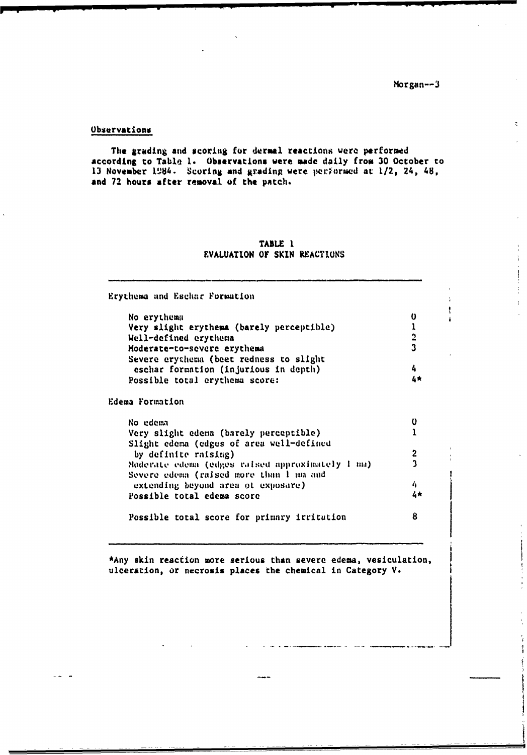$\ddot{z}$ 

 $\ddot{\phantom{a}}$ 

 $\bar{1}$ 

 $\frac{1}{2}$ 

ŧ

#### **Observations**

The grading and scoring for dermal reactions were performed according to Table 1. Observations were made daily from 30 October to 13 November 1984. Scoring and grading were performed at 1/2, 24, 48, and 72 hours after removal of the patch.

## TABLE 1 EVALUATION OF SKIN REACTIONS

Erythema and Eschar Formation  $\mathbf{0}$ No erythema Very slight erythema (barely perceptible)  $\mathbf{r}$  $\overline{\mathbf{c}}$ Well-defined erythema  $\mathbf{3}$ Moderate-to-severe erythema Severe erythema (beet redness to slight  $\overline{4}$ eschar formation (injurious in depth)  $4*$ Possible total crythema score: Edema Formation  $\mathbf 0$ No edema  $\mathbf{1}$ Very slight edema (barely perceptible) Slight edema (edges of area well-defined by definite raising)  $\overline{2}$ Moderate edema (edges raised approximately 1 mm)  $\mathbf{3}$ Severe edema (raised more than 1 mm and  $\boldsymbol{h}$ extending beyond area of exposare)  $4*$ Possible total edema score 8 Possible total score for primary irritution

\*Any skin reaction more serious than severe edema, vesiculation, ulceration, or necrosis places the chemical in Category V.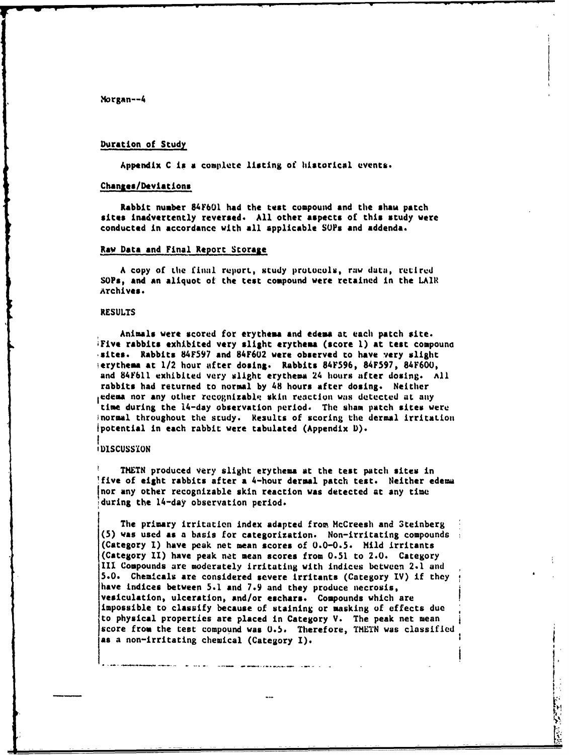## Duration of Study

Appendix C is a complete listing of historical events.

## Changes/Deviations

Rabbit number 84F601 **had** the test compound and the sham patch sites **inadvertently** reversed. **All** other aspects of this study were conducted in accordance with all applicable SOPs and addenda.

#### Raw Data and Final Report Storage

A copy of the final report, study protocols, raw data, retired **SOPs, and** an aliquot ot the test compound were retained in the LAIR Archives.

#### **RESULTS**

**Animals were** scored for erythea and edema at each patch site. iFive rabbits exhibited very slight erythems (score **1)** at test compouno sites. Rabbits **84F597** and 84F602 were observed to have very slight ierythema **at** 1/2 hour after dosing. Rabbits 84F596, **84F597,** 84F600, and 84F611 exhibited very slight erythema 24 hours after dosing. **All** rabbits **had** returned to normal **by** 48 hours after dosing. Neither ,edema nor any **other** recognizablq skin rectlon was detected at **any** time during the 14-day observation period. The sham patch sites were inormal throughout the study. Results of scoring the dermal irritation 1potential in each rabbit were tabulated (Appendix **D). I**

## **\$DISCUSSION**

**THETN** produced very slight erythema at the test patch sites in five of eight rabbits after **a** 4-hour dermal patch test. Neither edema nor any other recognizable skin reaction was detected at any time during the 14-day observation period.

The primary irritation index adapted from McCreesh and 3teinberg **(5) was** used **as a** basis for categorization. Non-irritating compounds (Category **1)** have peak net mean scores of **0.0-0.5.** Mild irritants (Category II) have peak net mean scores from **0.51** to 2.0. Category III Compounds are moderately irritating with indices between 2.1 and **5.0.** Chemicals are considered severe irritants (Category IV) if they have indices between **5.1 and 7.9** and they produce necrosis, vesiculation, ulceration, and/or **eschars.** Compounds which are impossible to classify because of staining or masking of effects due to physical properties are placed in Category V. The peak net mean score **from** the **test** compound was **0.5.** Therefore, TMETN was classified as a non-irritating chemical (Category I).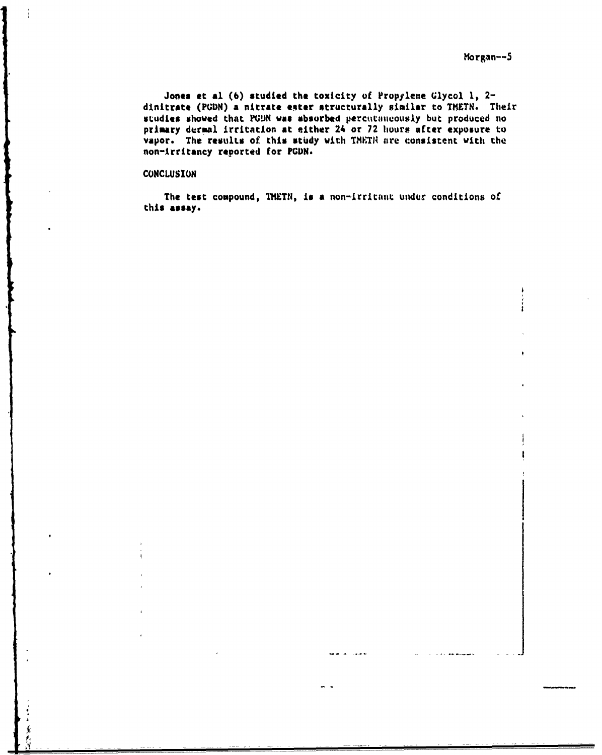Jones **et al (6)** studied the toxicity **of** Propylene Glycol **1,** 2 dinitrate (PGDN) a nitrate ester structurally similar to TMETN. Their studies showed that PGDN was absorbed percutaneously but produced no primary dermal irritation **at either** 24 **or 72 hours** after exposure to vapor. The results of this study with TNHTH are consistent with the non-Arritancy reported for **PGDN.** 

## **CONCLUSION**

**The** test compound, TNETN, **Is a** non-irritant under conditions of **this assay.**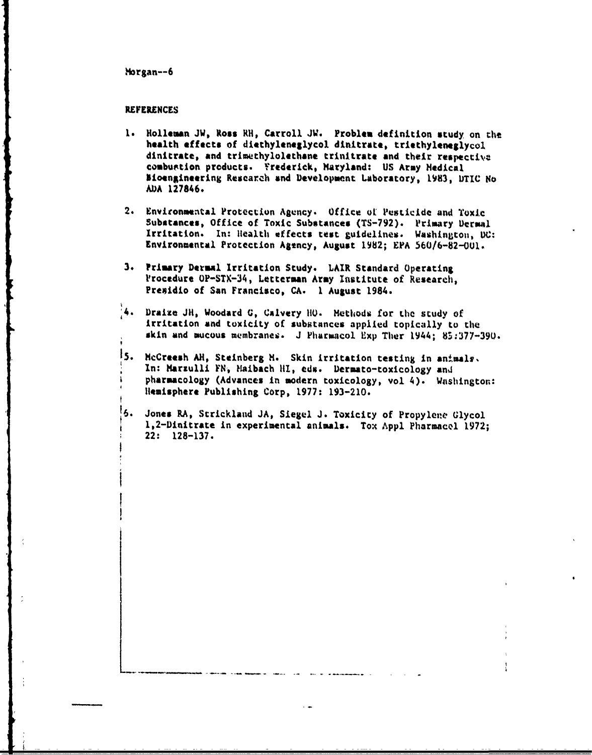## **REFERENCES**

- **1.** Holleman **JW, Ross** RH, Carroll **JW.** Problen definition study on the health effects of diethyleneglycol dinitrate, triethyleneglycol dinitrate, and trimethylolethane trinitrate and their respectiva combustion products. Frederick, Maryland: **US** Army Medical lioengineering Research and Development Laboratory, **1983, IDTIC** No **ADA** 127846.
- 2. Environmental Protection Agency. Office ot Pesticide and Toxic Substances, Office of Toxic Substances (TS-792). Primary Dermal Irritation. In: Health effects test guidelines. Washinptou, **DC:** Environmental Protection Agtncy, August **1982; EPA 560/6-82-OUl.**
- **3.** Primary Dermal Irritation Study. LAIR Standard Operating Procedure OP-STX-34, Letterman Army Institute of Research, Presidio of San Francisco, **CA. I** August 1984.
- '4. Draize **JII,** Woodard **G, Calvary 110.** Methods for **Lhe study of** irritation and toxicity of substances applied topically to **the** skin and mucous membranes. J Pharmacol Exp Ther 1944; 85:377-390.
- **15.** McCreesh **AH,** Steinberg H. Skin irritation testing in animals. In: Marzulli FN, Maibach HI, eds. Dermato-toxicology and pharmacology (Advances in modern toxicology, vol 4). Washington: Ilemisphere Publishing Corp. **1977: 193-210.**
- **16.** Jones RA, Strickland **JA,** Siegel **J.** Toxicity of Propylene Glycol 1,2-Dinitrate in experimental animals. Tox **Appl** Pharmacel **1972;** 22: **128-137.**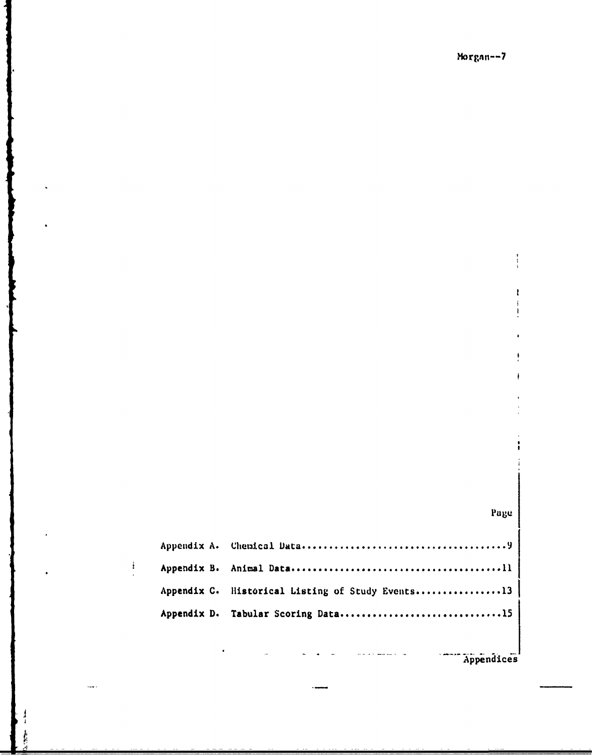## Page

| Appendix C. Historical Listing of Study Events13 |
|--------------------------------------------------|
| Appendix D. Tabular Scoring Data15               |

 $\frac{1}{2}$ 

in di

Appendices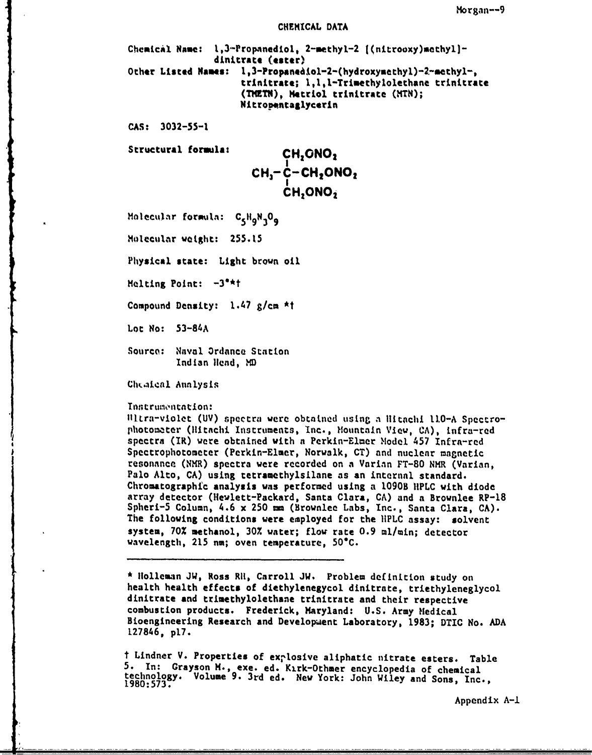#### **CHEMICAL DATA**

Chemical Name: 1,3-Propanediol, 2-methyl-2 [(nitrooxy)mothyl]dinitrate **(estaer)** Other Listed Names: 1,3-Propaned.iol-2-(hydroxymcthyl)-2-methyl-, **trinitrate; 1,1 1-Trimethylolethane trinitrate** (THETN), Metriol trinitrate (MTN); **Nitro pntaglycerin**

**CAS: 3032-55-1**

Structural formula: **CH, ONO**<sub>2</sub>

**I CH <sup>3</sup>- C-CHON0 <sup>2</sup> <sup>I</sup> CH 2ONO 2**

Molecular foromlA: **C5 19N3 09**

Molecular weight: **255.15**

Physical state: Light brown oil

Melting Point: -3"\*t

Compound Density: 1.47 g/cm **\*t**

Lot No: **53-84A**

Sourco: Naval Ordance Station Indian Head, MD

Chealeal Annlysis

## Instrumentation:

!lltra-violet **(UV) spectra** were obtatned usinr a **itachl 110-A** Spectrophotometer (itachi Irnstruments, Inc., Mountain View, **CA),** infra-red spectra **(IR)** were obtained with **a** Perkin-Elmer odel 457 Infra-red Spectrophotometer (Perkin-Elmer, Norwalk, **CT)** and nuclear magnetic resonance (NMR) spectra were recorded on **a** Varian **FT-80** NMR (Varian, Palo Alto, **CA)** using tetramethylsilane as an internal standard. Chromatographic analysis was performed using a 1090B **IIPLC** with diode array detector (Hewlett-Packard, Santa Clara, **CA)** and a Brownlee RP-18 Spheri-5 Column, 4.6 x **250** mm (Brownlee Labs, Inc., Santa Clara, **CA).** The following conditions were employed for the IPLC assay: solvent system, **70%** methanol, **30%** water; flow rate **0.9** ml/min; detector wavelength, **215** na; oven temperature, **50"C.**

**\*** Holleman **JW,** Ross RI1, Carroll **JW.** Problem definition study on health health effects of diethylenegycol dinitrate, triethyleneglycol dinitrate and trimethylolethane trinitrate and their respective combustion products. Frederick, Maryland: **U.S.** Army Medical Bioengineering Research and Development Laboratory, **1983;** DTIC No. **ADA L27846, p17.**

t Lindner V. Properties of explosive aliphatic nitrate esters. Table **5.** In: Grayson **H.,** exe. ed. K2.rk-Othmer encyclopedia of chemical technology. Volume **9.** 3rd ed. New York: John Wiley and Sons, Inc., **1980:573.**

Appendix **A-1**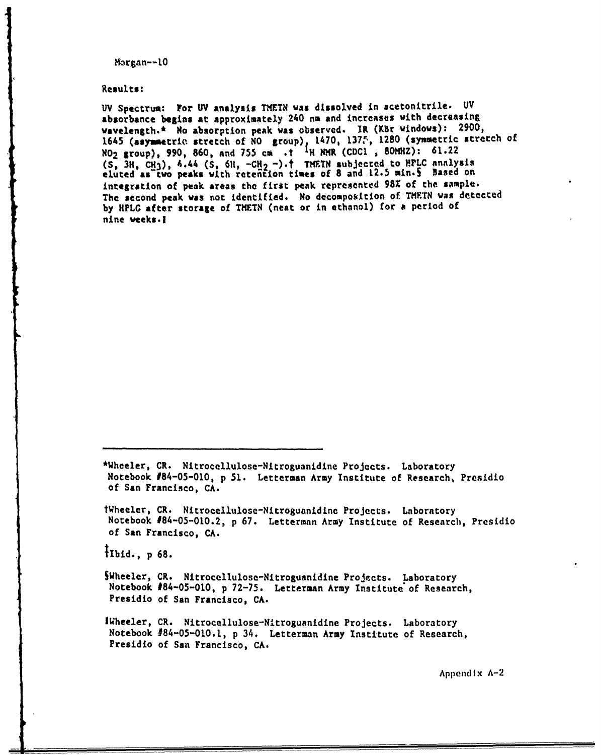**Results:**

**UV** Spectrum: For **UV analysis TXETN was dissolved** in acetonitrile. **UV** absorbance begins at approximately 240 nm and increases with decreasing wavelength.\* No absorption peak was observed. IR (KBr windows): 2900, 1645 (asymetrie stretch of **NO** group) 1470, 137, **1280** (symetric stretch of **NO2** group), **990, 860,** and **755** co **.t** MKR **(CDCI** , **80MHZ): 61.22 (S, 3H, CN3),** A.44 **(S, 611, -CH2** -).t TWTN subjected to HPLC analysis eluted **as two peaks** with reteRtion times of **8** and **12.5** min.5 Based on integration of **peak** areas the first peak represented **98Z** of the sample. The second peak was not identified. No decomposition of TMETN was detected by HPLG after storage of THETN (neat or in ethanol) for a period of nine weeks.l

\*Wheeler, CR. Nitrocellulose-Nitroguanidine Projects. Laboratory Notebook 184-05-010, **p 51.** Letterman Army Institute of Research, Presidio **of** San Francisco, **CA.**

tWheeler, CR. Nitrocellulose-Nitrogunnidine Projects. Laboratory Notebook #84-05-010.2, **p 67.** Letterman Army Institute of Research, Presidio of San Francisco, **CA.**

TIbid., p **68.**

SWheeler, CR. Nitrocellulose-Nitroguanidine Projects. Laboratory Notebook #84-05-010, **p 72-75.** Letterman Army Institute **of** Research, Presidio of San Francisco, **CA.**

IWheeler, CR. Nitrocellulose-Nitroguanidine Projects. Laboratory Notebook #84-05-010.1, **p** 34. Letterman Army Institute of Research, Presidio of **San** Francisco, **CA.**

Appendix A-2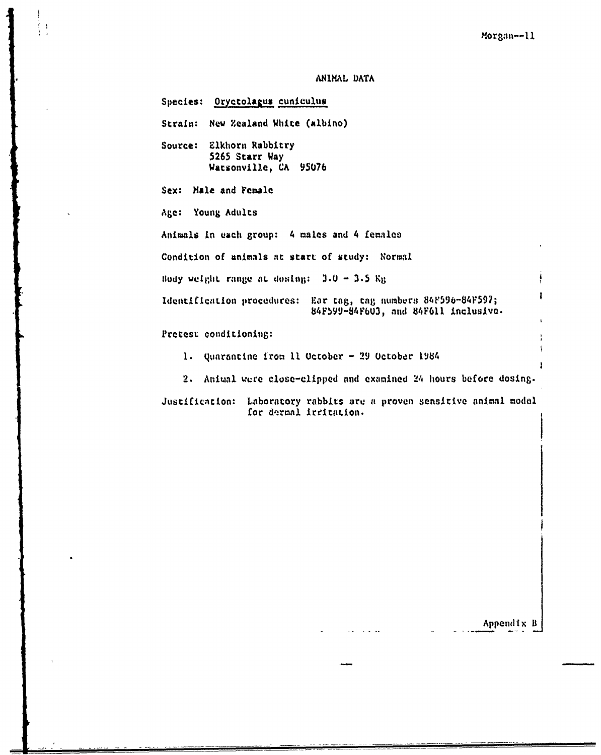## A.HIKNL **DATA**

 $\frac{1}{1}$ 

Species: Oryctolagus cuniculus Strain: New Zealand White (albino) Source: Elkhorn Rabbitry **5265 Starr Way** Watsonville, **CA 95076** Sex: **Male** and **Female Age:** Young Adults Animals in each group: 4 **males** and 4 femaloe Condition of animals at start **of** study: Normal Body weight range at dosing:  $3.0 - 3.5$  Kg 1 Identification procedures: Ear tag, tag numbers 84F596-84F597; **84Fb99-84VF63,** and **84tF6l** inclusive. **Pretest** conditioning:

**1.** quarantine from **11** October **- 29** Uctobdr 1984

2. Animal were close-clipped and examined 24 hours before dosing.

Justification: Laboratory rabbits are a proven sensitive animal model for dermal irritation.

Appendix B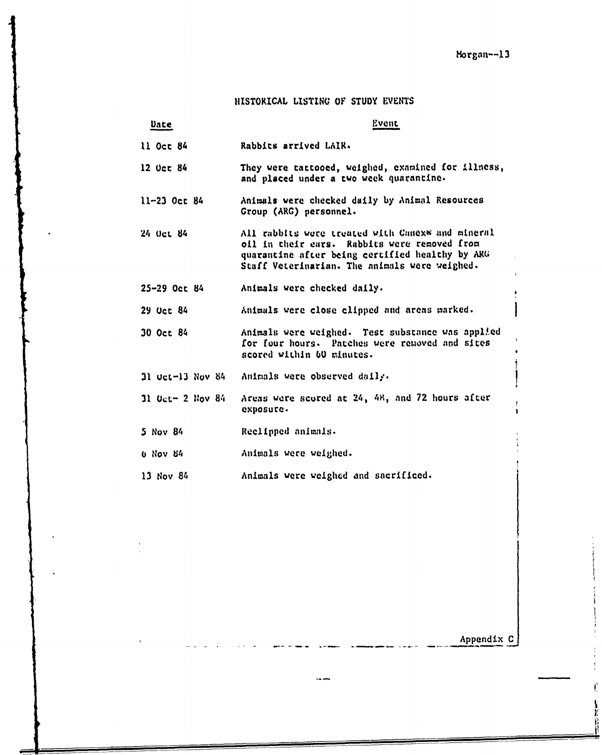# **HISTORICAL** LISTING **OF STUDY** IENTS

| Date                                 | Event                                                                                                                                                                                                |
|--------------------------------------|------------------------------------------------------------------------------------------------------------------------------------------------------------------------------------------------------|
| $11$ Oct $84$                        | Rabbits arrived LAIR.                                                                                                                                                                                |
| $12$ Oct $84$                        | They were tattooed, weighed, examined for illness,<br>and placed under a two week quarantine.                                                                                                        |
| 11-23 Oct 84                         | Animals were checked daily by Animal Resources<br>Group (ARG) personnel.                                                                                                                             |
| 24 Oct 84                            | All rabbits were treated with Canexw and mineral<br>oil in their cars. Rabbits were removed from<br>quarantine after being certified healthy by ARG<br>Staff Veterinarian. The animals were weighed. |
| $25 - 29$ Oct 84                     | Animals were checked daily.                                                                                                                                                                          |
| 29 Oct 84                            | Animals were close clipped and areas marked.                                                                                                                                                         |
| 30 Oct 84                            | Animals were weighed. Test substance was applied<br>for four hours. Patches were removed and sites<br>scored within 60 minutes.                                                                      |
| $31$ Oct-13 Nov $84$                 | Animals were observed daily.                                                                                                                                                                         |
| $31 \text{ Oct} - 2 \text{ Nov } 84$ | Areas were scored at 24, 48, and 72 hours after<br>exposure.                                                                                                                                         |
| 5 Nov 84                             | Reclipped animals.                                                                                                                                                                                   |
| <b>U NOV 54</b>                      | Animals were weighed.                                                                                                                                                                                |
| 13 Nov 84                            | Animals were weighed and sacrificed.                                                                                                                                                                 |

Appendix **C**

 $\vec{l}$ 

ļ Ě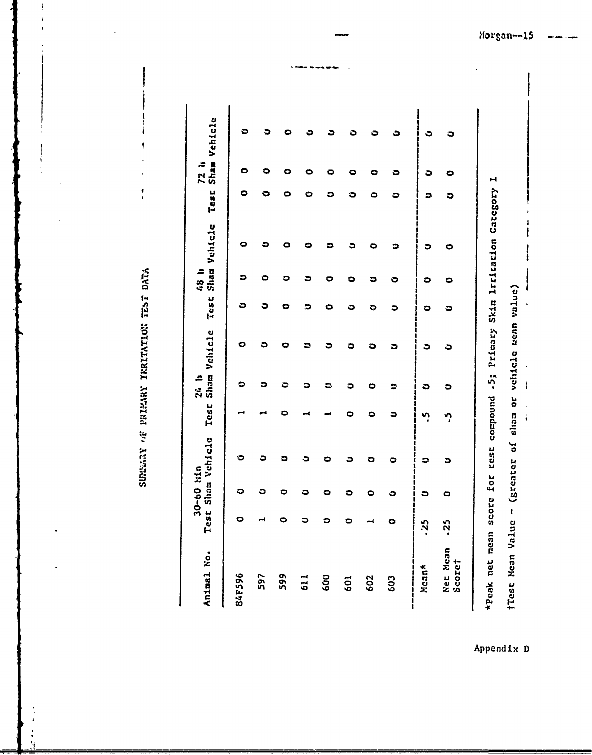SUMMAY OF PRIMARY TRRITATION TEST DATA

Ŋ

| Animal No.         | Ĥ                   | 30-60 hin | est Sham Vehicle                                             | Test | 24 h | Shan Vehicle |   | 48 h | Test Sham Vehicle | <b>Test</b> | 72h | Sham Vehicle |
|--------------------|---------------------|-----------|--------------------------------------------------------------|------|------|--------------|---|------|-------------------|-------------|-----|--------------|
| 84F596             | 0                   | ຕ         | о                                                            |      | 0    | Ο            | ౦ |      | О                 | о           | O   | O            |
| 597                |                     | ວ         | э                                                            |      | ວ    | a            | ວ | ٥    |                   |             |     |              |
| 599                | 0                   | 0         | s                                                            |      | ೦    |              | 0 | ၁    |                   |             |     | o            |
| 611                | ວ                   | 0         | ວ                                                            |      | ວ    |              |   | ວ    |                   |             |     |              |
| 600                | ິ                   | 0         | o                                                            |      | 5    |              | О | 0    |                   |             |     |              |
| 601                | $\circ$             | ິ         | ∍                                                            |      | ວ    | ට            | ≎ | Ο    | ۵                 |             | o   | Ō            |
| 602                |                     | 0         | 0                                                            | ວ    | 0    | ວ            | O | 0    | 0                 |             | c   |              |
| 603                | 0                   | ٥         | э                                                            | ວ    |      | ₿            | ວ | 0    | ∍                 | 0           | ວ   | ٥            |
| Mean*              | -25                 | ວ         | ວ                                                            | ņ    | ວ    | ౽            | ວ | 0    | ວ                 | ວ           | ౨   | د            |
| Net Mean<br>Scoret | $\ddot{\mathbf{v}}$ | 0         | э                                                            | ײ    | ວ    | ٥            | ၁ | ၁    | 0                 | ວ           | 0   | ວ            |
| *Peak net mean     |                     |           | score for test compound .5; Primary Skin Irritation Category |      |      |              |   |      |                   |             | H   |              |
|                    |                     |           | fTest Mean Value - (greater of sham or vehicle seam value)   |      |      |              |   |      |                   |             |     |              |

Appendix D

 $\ddot{\phantom{0}}$